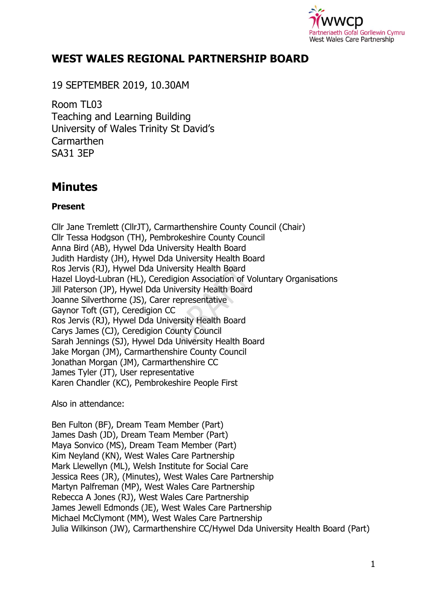

# **WEST WALES REGIONAL PARTNERSHIP BOARD**

19 SEPTEMBER 2019, 10.30AM

Room TL03 Teaching and Learning Building University of Wales Trinity St David's **Carmarthen** SA31 3EP

# **Minutes**

#### **Present**

Cllr Jane Tremlett (CllrJT), Carmarthenshire County Council (Chair) Cllr Tessa Hodgson (TH), Pembrokeshire County Council Anna Bird (AB), Hywel Dda University Health Board Judith Hardisty (JH), Hywel Dda University Health Board Ros Jervis (RJ), Hywel Dda University Health Board Hazel Lloyd-Lubran (HL), Ceredigion Association of Voluntary Organisations Jill Paterson (JP), Hywel Dda University Health Board Joanne Silverthorne (JS), Carer representative Gaynor Toft (GT), Ceredigion CC Ros Jervis (RJ), Hywel Dda University Health Board Carys James (CJ), Ceredigion County Council Sarah Jennings (SJ), Hywel Dda University Health Board Jake Morgan (JM), Carmarthenshire County Council Jonathan Morgan (JM), Carmarthenshire CC James Tyler (JT), User representative Karen Chandler (KC), Pembrokeshire People First

Also in attendance:

Ben Fulton (BF), Dream Team Member (Part) James Dash (JD), Dream Team Member (Part) Maya Sonvico (MS), Dream Team Member (Part) Kim Neyland (KN), West Wales Care Partnership Mark Llewellyn (ML), Welsh Institute for Social Care Jessica Rees (JR), (Minutes), West Wales Care Partnership Martyn Palfreman (MP), West Wales Care Partnership Rebecca A Jones (RJ), West Wales Care Partnership James Jewell Edmonds (JE), West Wales Care Partnership Michael McClymont (MM), West Wales Care Partnership Julia Wilkinson (JW), Carmarthenshire CC/Hywel Dda University Health Board (Part)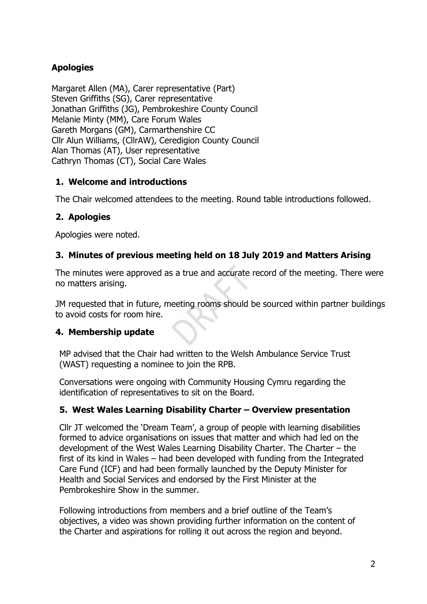# **Apologies**

Margaret Allen (MA), Carer representative (Part) Steven Griffiths (SG), Carer representative Jonathan Griffiths (JG), Pembrokeshire County Council Melanie Minty (MM), Care Forum Wales Gareth Morgans (GM), Carmarthenshire CC Cllr Alun Williams, (CllrAW), Ceredigion County Council Alan Thomas (AT), User representative Cathryn Thomas (CT), Social Care Wales

## **1. Welcome and introductions**

The Chair welcomed attendees to the meeting. Round table introductions followed.

# **2. Apologies**

Apologies were noted.

## **3. Minutes of previous meeting held on 18 July 2019 and Matters Arising**

The minutes were approved as a true and accurate record of the meeting. There were no matters arising.

JM requested that in future, meeting rooms should be sourced within partner buildings to avoid costs for room hire.

# **4. Membership update**

MP advised that the Chair had written to the Welsh Ambulance Service Trust (WAST) requesting a nominee to join the RPB.

Conversations were ongoing with Community Housing Cymru regarding the identification of representatives to sit on the Board.

## **5. West Wales Learning Disability Charter – Overview presentation**

Cllr JT welcomed the 'Dream Team', a group of people with learning disabilities formed to advice organisations on issues that matter and which had led on the development of the West Wales Learning Disability Charter. The Charter – the first of its kind in Wales – had been developed with funding from the Integrated Care Fund (ICF) and had been formally launched by the Deputy Minister for Health and Social Services and endorsed by the First Minister at the Pembrokeshire Show in the summer.

Following introductions from members and a brief outline of the Team's objectives, a video was shown providing further information on the content of the Charter and aspirations for rolling it out across the region and beyond.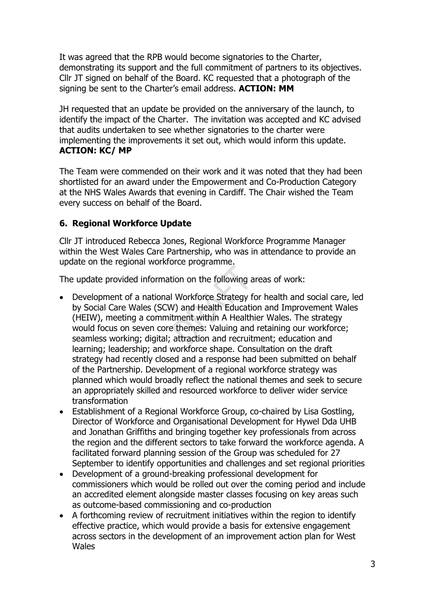It was agreed that the RPB would become signatories to the Charter, demonstrating its support and the full commitment of partners to its objectives. Cllr JT signed on behalf of the Board. KC requested that a photograph of the signing be sent to the Charter's email address. **ACTION: MM**

JH requested that an update be provided on the anniversary of the launch, to identify the impact of the Charter. The invitation was accepted and KC advised that audits undertaken to see whether signatories to the charter were implementing the improvements it set out, which would inform this update. **ACTION: KC/ MP**

The Team were commended on their work and it was noted that they had been shortlisted for an award under the Empowerment and Co-Production Category at the NHS Wales Awards that evening in Cardiff. The Chair wished the Team every success on behalf of the Board.

## **6. Regional Workforce Update**

Cllr JT introduced Rebecca Jones, Regional Workforce Programme Manager within the West Wales Care Partnership, who was in attendance to provide an update on the regional workforce programme.

The update provided information on the following areas of work:

- Development of a national Workforce Strategy for health and social care, led by Social Care Wales (SCW) and Health Education and Improvement Wales (HEIW), meeting a commitment within A Healthier Wales. The strategy would focus on seven core themes: Valuing and retaining our workforce; seamless working; digital; attraction and recruitment; education and learning; leadership; and workforce shape. Consultation on the draft strategy had recently closed and a response had been submitted on behalf of the Partnership. Development of a regional workforce strategy was planned which would broadly reflect the national themes and seek to secure an appropriately skilled and resourced workforce to deliver wider service transformation
- Establishment of a Regional Workforce Group, co-chaired by Lisa Gostling, Director of Workforce and Organisational Development for Hywel Dda UHB and Jonathan Griffiths and bringing together key professionals from across the region and the different sectors to take forward the workforce agenda. A facilitated forward planning session of the Group was scheduled for 27 September to identify opportunities and challenges and set regional priorities
- Development of a ground-breaking professional development for commissioners which would be rolled out over the coming period and include an accredited element alongside master classes focusing on key areas such as outcome-based commissioning and co-production
- A forthcoming review of recruitment initiatives within the region to identify effective practice, which would provide a basis for extensive engagement across sectors in the development of an improvement action plan for West **Wales**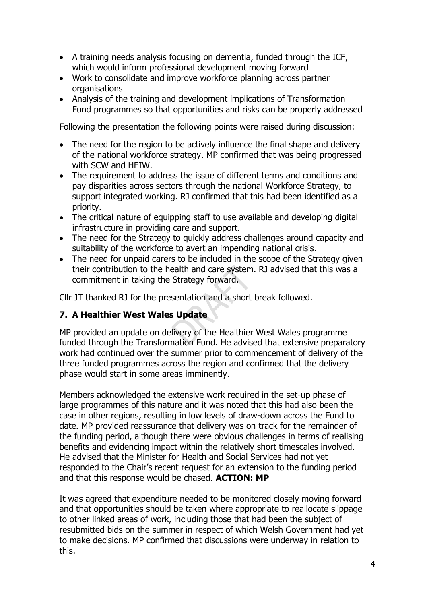- A training needs analysis focusing on dementia, funded through the ICF, which would inform professional development moving forward
- Work to consolidate and improve workforce planning across partner organisations
- Analysis of the training and development implications of Transformation Fund programmes so that opportunities and risks can be properly addressed

Following the presentation the following points were raised during discussion:

- The need for the region to be actively influence the final shape and delivery of the national workforce strategy. MP confirmed that was being progressed with SCW and HEIW.
- The requirement to address the issue of different terms and conditions and pay disparities across sectors through the national Workforce Strategy, to support integrated working. RJ confirmed that this had been identified as a priority.
- The critical nature of equipping staff to use available and developing digital infrastructure in providing care and support.
- The need for the Strategy to quickly address challenges around capacity and suitability of the workforce to avert an impending national crisis.
- The need for unpaid carers to be included in the scope of the Strategy given their contribution to the health and care system. RJ advised that this was a commitment in taking the Strategy forward.

Cllr JT thanked RJ for the presentation and a short break followed.

## **7. A Healthier West Wales Update**

MP provided an update on delivery of the Healthier West Wales programme funded through the Transformation Fund. He advised that extensive preparatory work had continued over the summer prior to commencement of delivery of the three funded programmes across the region and confirmed that the delivery phase would start in some areas imminently.

Members acknowledged the extensive work required in the set-up phase of large programmes of this nature and it was noted that this had also been the case in other regions, resulting in low levels of draw-down across the Fund to date. MP provided reassurance that delivery was on track for the remainder of the funding period, although there were obvious challenges in terms of realising benefits and evidencing impact within the relatively short timescales involved. He advised that the Minister for Health and Social Services had not yet responded to the Chair's recent request for an extension to the funding period and that this response would be chased. **ACTION: MP**

It was agreed that expenditure needed to be monitored closely moving forward and that opportunities should be taken where appropriate to reallocate slippage to other linked areas of work, including those that had been the subject of resubmitted bids on the summer in respect of which Welsh Government had yet to make decisions. MP confirmed that discussions were underway in relation to this.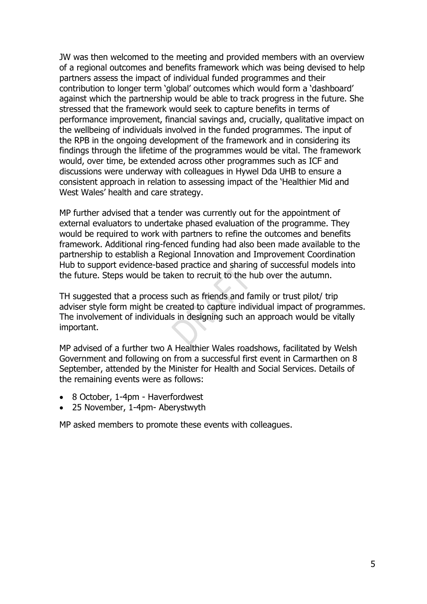JW was then welcomed to the meeting and provided members with an overview of a regional outcomes and benefits framework which was being devised to help partners assess the impact of individual funded programmes and their contribution to longer term 'global' outcomes which would form a 'dashboard' against which the partnership would be able to track progress in the future. She stressed that the framework would seek to capture benefits in terms of performance improvement, financial savings and, crucially, qualitative impact on the wellbeing of individuals involved in the funded programmes. The input of the RPB in the ongoing development of the framework and in considering its findings through the lifetime of the programmes would be vital. The framework would, over time, be extended across other programmes such as ICF and discussions were underway with colleagues in Hywel Dda UHB to ensure a consistent approach in relation to assessing impact of the 'Healthier Mid and West Wales' health and care strategy.

MP further advised that a tender was currently out for the appointment of external evaluators to undertake phased evaluation of the programme. They would be required to work with partners to refine the outcomes and benefits framework. Additional ring-fenced funding had also been made available to the partnership to establish a Regional Innovation and Improvement Coordination Hub to support evidence-based practice and sharing of successful models into the future. Steps would be taken to recruit to the hub over the autumn.

TH suggested that a process such as friends and family or trust pilot/ trip adviser style form might be created to capture individual impact of programmes. The involvement of individuals in designing such an approach would be vitally important.

MP advised of a further two A Healthier Wales roadshows, facilitated by Welsh Government and following on from a successful first event in Carmarthen on 8 September, attended by the Minister for Health and Social Services. Details of the remaining events were as follows:

- 8 October, 1-4pm Haverfordwest
- 25 November, 1-4pm- Aberystwyth

MP asked members to promote these events with colleagues.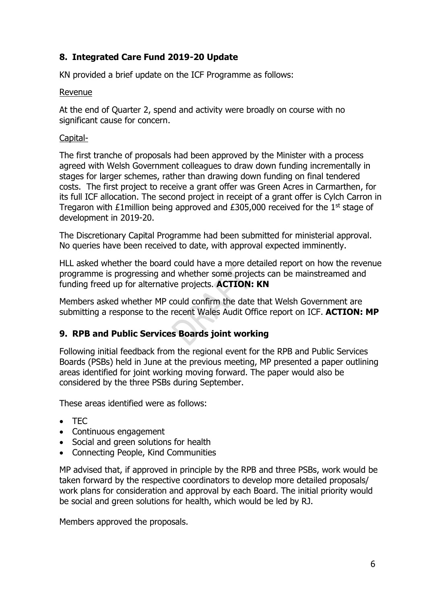## **8. Integrated Care Fund 2019-20 Update**

KN provided a brief update on the ICF Programme as follows:

#### Revenue

At the end of Quarter 2, spend and activity were broadly on course with no significant cause for concern.

#### Capital-

The first tranche of proposals had been approved by the Minister with a process agreed with Welsh Government colleagues to draw down funding incrementally in stages for larger schemes, rather than drawing down funding on final tendered costs. The first project to receive a grant offer was Green Acres in Carmarthen, for its full ICF allocation. The second project in receipt of a grant offer is Cylch Carron in Tregaron with £1 million being approved and  $£305,000$  received for the 1<sup>st</sup> stage of development in 2019-20.

The Discretionary Capital Programme had been submitted for ministerial approval. No queries have been received to date, with approval expected imminently.

HLL asked whether the board could have a more detailed report on how the revenue programme is progressing and whether some projects can be mainstreamed and funding freed up for alternative projects. **ACTION: KN**

Members asked whether MP could confirm the date that Welsh Government are submitting a response to the recent Wales Audit Office report on ICF. **ACTION: MP**

#### **9. RPB and Public Services Boards joint working**

Following initial feedback from the regional event for the RPB and Public Services Boards (PSBs) held in June at the previous meeting, MP presented a paper outlining areas identified for joint working moving forward. The paper would also be considered by the three PSBs during September.

These areas identified were as follows:

- TEC
- Continuous engagement
- Social and green solutions for health
- Connecting People, Kind Communities

MP advised that, if approved in principle by the RPB and three PSBs, work would be taken forward by the respective coordinators to develop more detailed proposals/ work plans for consideration and approval by each Board. The initial priority would be social and green solutions for health, which would be led by RJ.

Members approved the proposals.